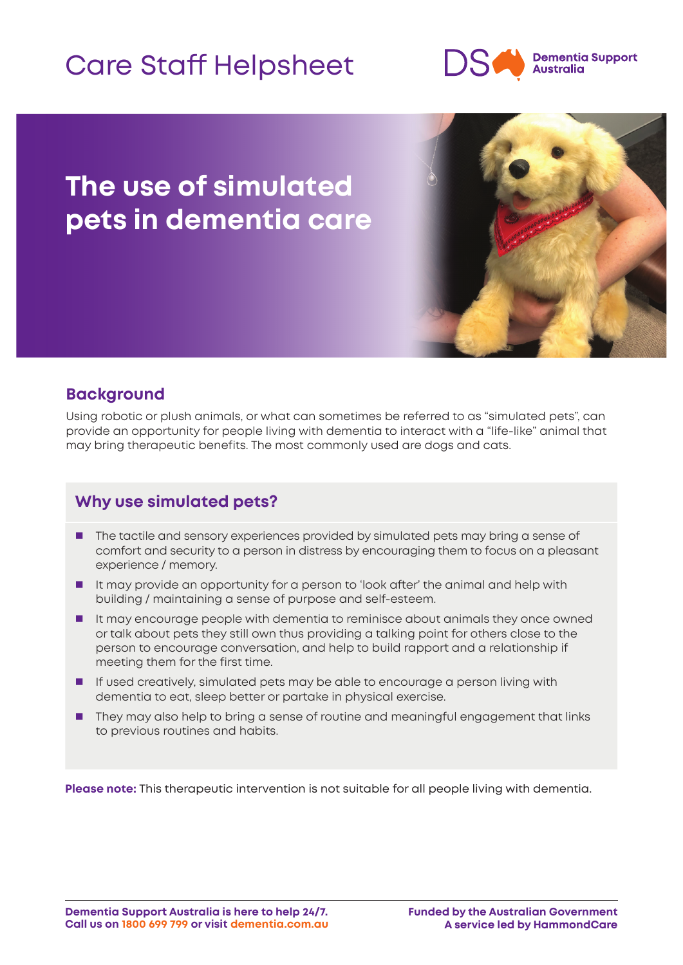# Care Staff Helpsheet



# **The use of simulated pets in dementia care**



### **Background**

Using robotic or plush animals, or what can sometimes be referred to as "simulated pets", can provide an opportunity for people living with dementia to interact with a "life-like" animal that may bring therapeutic benefits. The most commonly used are dogs and cats.

# **Why use simulated pets?**

- **The tactile and sensory experiences provided by simulated pets may bring a sense of** comfort and security to a person in distress by encouraging them to focus on a pleasant experience / memory.
- It may provide an opportunity for a person to 'look after' the animal and help with building / maintaining a sense of purpose and self-esteem.
- It may encourage people with dementia to reminisce about animals they once owned or talk about pets they still own thus providing a talking point for others close to the person to encourage conversation, and help to build rapport and a relationship if meeting them for the first time.
- **If used creatively, simulated pets may be able to encourage a person living with** dementia to eat, sleep better or partake in physical exercise.
- **They may also help to bring a sense of routine and meaningful engagement that links** to previous routines and habits.

**Please note:** This therapeutic intervention is not suitable for all people living with dementia.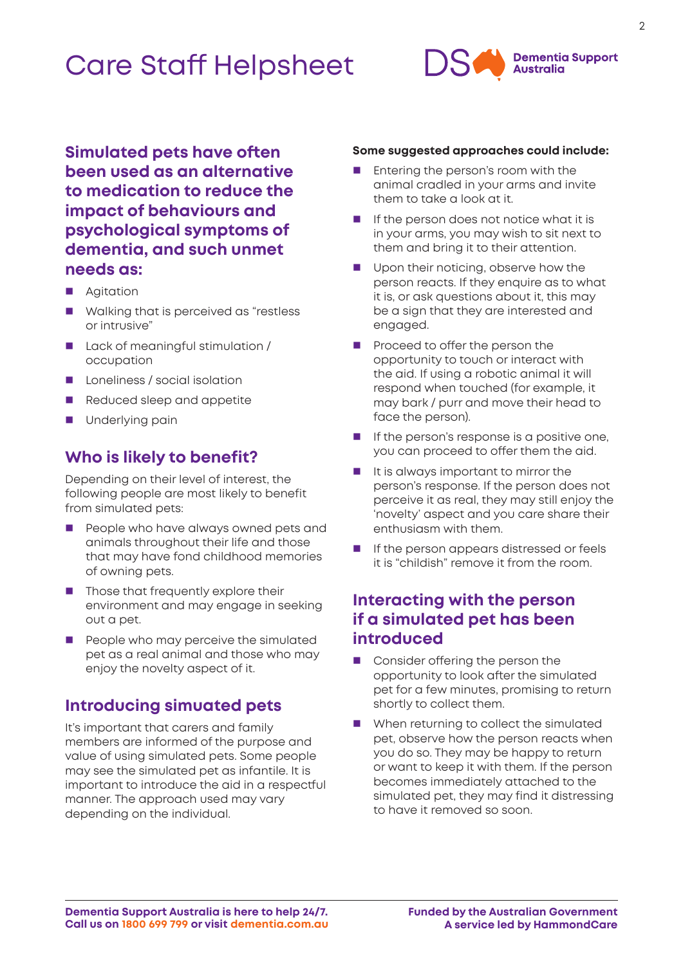# Care Staff Helpsheet



**Simulated pets have often been used as an alternative to medication to reduce the impact of behaviours and psychological symptoms of dementia, and such unmet needs as:** 

- **Agitation**
- **Nollanger Walking that is perceived as "restless** or intrusive"
- **Lack of meaningful stimulation /** occupation
- **Languiness / social isolation**
- Reduced sleep and appetite
- **Underlying pain**

### **Who is likely to benefit?**

Depending on their level of interest, the following people are most likely to benefit from simulated pets:

- People who have always owned pets and animals throughout their life and those that may have fond childhood memories of owning pets.
- $\blacksquare$  Those that frequently explore their environment and may engage in seeking out a pet.
- $\blacksquare$  People who may perceive the simulated pet as a real animal and those who may enjoy the novelty aspect of it.

#### **Introducing simuated pets**

It's important that carers and family members are informed of the purpose and value of using simulated pets. Some people may see the simulated pet as infantile. It is important to introduce the aid in a respectful manner. The approach used may vary depending on the individual.

#### **Some suggested approaches could include:**

- Entering the person's room with the animal cradled in your arms and invite them to take a look at it.
- I If the person does not notice what it is in your arms, you may wish to sit next to them and bring it to their attention.
- Upon their noticing, observe how the person reacts. If they enquire as to what it is, or ask questions about it, this may be a sign that they are interested and engaged.
- Proceed to offer the person the opportunity to touch or interact with the aid. If using a robotic animal it will respond when touched (for example, it may bark / purr and move their head to face the person).
- $\blacksquare$  If the person's response is a positive one. you can proceed to offer them the aid.
- $\blacksquare$  It is always important to mirror the person's response. If the person does not perceive it as real, they may still enjoy the 'novelty' aspect and you care share their enthusiasm with them.
- **If the person appears distressed or feels** it is "childish" remove it from the room.

### **Interacting with the person if a simulated pet has been introduced**

- Consider offering the person the opportunity to look after the simulated pet for a few minutes, promising to return shortly to collect them.
- When returning to collect the simulated pet, observe how the person reacts when you do so. They may be happy to return or want to keep it with them. If the person becomes immediately attached to the simulated pet, they may find it distressing to have it removed so soon.